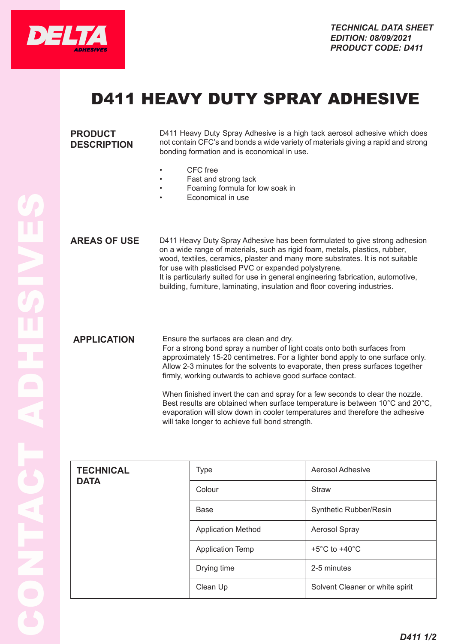

## D411 HEAVY DUTY SPRAY ADHESIVE

| <b>PRODUCT</b><br><b>DESCRIPTION</b> | D411 Heavy Duty Spray Adhesive is a high tack aerosol adhesive which does<br>not contain CFC's and bonds a wide variety of materials giving a rapid and strong<br>bonding formation and is economical in use.<br>CFC free<br>٠<br>Fast and strong tack<br>Foaming formula for low soak in<br>Economical in use                                                                                                                                                          |
|--------------------------------------|-------------------------------------------------------------------------------------------------------------------------------------------------------------------------------------------------------------------------------------------------------------------------------------------------------------------------------------------------------------------------------------------------------------------------------------------------------------------------|
| <b>AREAS OF USE</b>                  | D411 Heavy Duty Spray Adhesive has been formulated to give strong adhesion<br>on a wide range of materials, such as rigid foam, metals, plastics, rubber,<br>wood, textiles, ceramics, plaster and many more substrates. It is not suitable<br>for use with plasticised PVC or expanded polystyrene.<br>It is particularly suited for use in general engineering fabrication, automotive,<br>building, furniture, laminating, insulation and floor covering industries. |
| <b>APPLICATION</b>                   | Ensure the surfaces are clean and dry.<br>For a strong bond spray a number of light coats onto both surfaces from<br>approximately 15-20 centimetres. For a lighter bond apply to one surface only.<br>Allow 2-3 minutes for the solvents to evaporate, then press surfaces together<br>firmly, working outwards to achieve good surface contact.<br>Whan finished invert the can and spray for a few seconds to clear the nozzle                                       |

When finished invert the can and spray for a few seconds to clear the nozzle. Best results are obtained when surface temperature is between 10°C and 20°C, evaporation will slow down in cooler temperatures and therefore the adhesive will take longer to achieve full bond strength.

| <b>TECHNICAL</b> | <b>Type</b>               | Aerosol Adhesive                  |
|------------------|---------------------------|-----------------------------------|
| <b>DATA</b>      | Colour                    | <b>Straw</b>                      |
|                  | Base                      | Synthetic Rubber/Resin            |
|                  | <b>Application Method</b> | Aerosol Spray                     |
|                  | <b>Application Temp</b>   | $+5^{\circ}$ C to $+40^{\circ}$ C |
|                  | Drying time               | 2-5 minutes                       |
|                  | Clean Up                  | Solvent Cleaner or white spirit   |